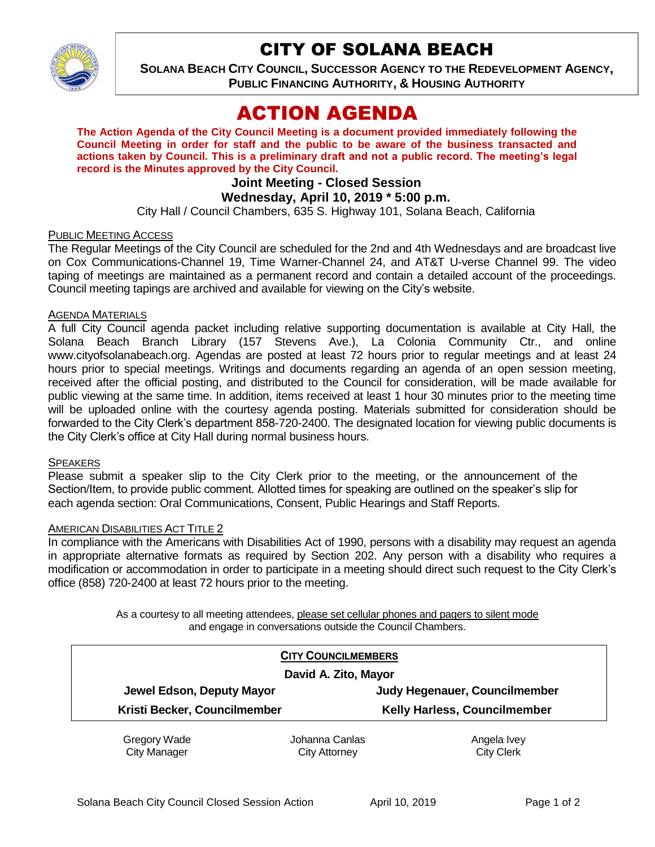

# CITY OF SOLANA BEACH

**SOLANA BEACH CITY COUNCIL, SUCCESSOR AGENCY TO THE REDEVELOPMENT AGENCY, PUBLIC FINANCING AUTHORITY, & HOUSING AUTHORITY** 

# ACTION AGENDA

**The Action Agenda of the City Council Meeting is a document provided immediately following the Council Meeting in order for staff and the public to be aware of the business transacted and actions taken by Council. This is a preliminary draft and not a public record. The meeting's legal record is the Minutes approved by the City Council.**

# **Joint Meeting - Closed Session**

### **Wednesday, April 10, 2019 \* 5:00 p.m.**

City Hall / Council Chambers, 635 S. Highway 101, Solana Beach, California

#### PUBLIC MEETING ACCESS

The Regular Meetings of the City Council are scheduled for the 2nd and 4th Wednesdays and are broadcast live on Cox Communications-Channel 19, Time Warner-Channel 24, and AT&T U-verse Channel 99. The video taping of meetings are maintained as a permanent record and contain a detailed account of the proceedings. Council meeting tapings are archived and available for viewing on the City's website.

#### AGENDA MATERIALS

A full City Council agenda packet including relative supporting documentation is available at City Hall, the Solana Beach Branch Library (157 Stevens Ave.), La Colonia Community Ctr., and online www.cityofsolanabeach.org. Agendas are posted at least 72 hours prior to regular meetings and at least 24 hours prior to special meetings. Writings and documents regarding an agenda of an open session meeting, received after the official posting, and distributed to the Council for consideration, will be made available for public viewing at the same time. In addition, items received at least 1 hour 30 minutes prior to the meeting time will be uploaded online with the courtesy agenda posting. Materials submitted for consideration should be forwarded to the City Clerk's department 858-720-2400. The designated location for viewing public documents is the City Clerk's office at City Hall during normal business hours.

#### **SPEAKERS**

Please submit a speaker slip to the City Clerk prior to the meeting, or the announcement of the Section/Item, to provide public comment. Allotted times for speaking are outlined on the speaker's slip for each agenda section: Oral Communications, Consent, Public Hearings and Staff Reports.

#### AMERICAN DISABILITIES ACT TITLE 2

In compliance with the Americans with Disabilities Act of 1990, persons with a disability may request an agenda in appropriate alternative formats as required by Section 202. Any person with a disability who requires a modification or accommodation in order to participate in a meeting should direct such request to the City Clerk's office (858) 720-2400 at least 72 hours prior to the meeting.

> As a courtesy to all meeting attendees, please set cellular phones and pagers to silent mode and engage in conversations outside the Council Chambers.

| <b>CITY COUNCILMEMBERS</b>   |                |                                     |
|------------------------------|----------------|-------------------------------------|
| David A. Zito, Mayor         |                |                                     |
| Jewel Edson, Deputy Mayor    |                | Judy Hegenauer, Councilmember       |
| Kristi Becker, Councilmember |                | <b>Kelly Harless, Councilmember</b> |
| Gregory Wade                 | Johanna Canlas | Angela Ivey                         |

City Manager

City Attorney